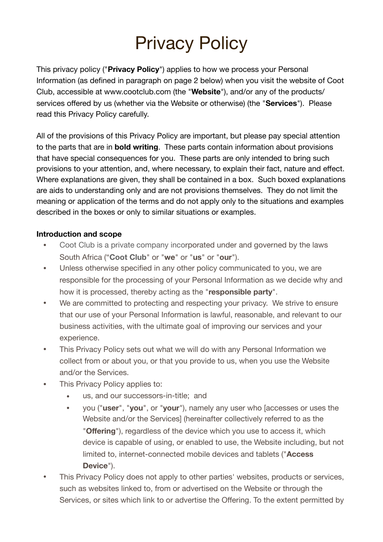# Privacy Policy

This privacy policy ("**Privacy Policy**") applies to how we process your Personal Information (as defined in paragraph on page 2 below) when you visit the website of Coot Club, accessible at www.cootclub.com (the "**Website**"), and/or any of the products/ services offered by us (whether via the Website or otherwise) (the "**Services**"). Please read this Privacy Policy carefully.

All of the provisions of this Privacy Policy are important, but please pay special attention to the parts that are in **bold writing**. These parts contain information about provisions that have special consequences for you. These parts are only intended to bring such provisions to your attention, and, where necessary, to explain their fact, nature and effect. Where explanations are given, they shall be contained in a box. Such boxed explanations are aids to understanding only and are not provisions themselves. They do not limit the meaning or application of the terms and do not apply only to the situations and examples described in the boxes or only to similar situations or examples.

#### **Introduction and scope**

- Coot Club is a private company incorporated under and governed by the laws South Africa ("**Coot Club**" or "**we**" or "**us**" or "**our**").
- Unless otherwise specified in any other policy communicated to you, we are responsible for the processing of your Personal Information as we decide why and how it is processed, thereby acting as the "**responsible party**".
- We are committed to protecting and respecting your privacy. We strive to ensure that our use of your Personal Information is lawful, reasonable, and relevant to our business activities, with the ultimate goal of improving our services and your experience.
- This Privacy Policy sets out what we will do with any Personal Information we collect from or about you, or that you provide to us, when you use the Website and/or the Services.
- This Privacy Policy applies to:
	- us, and our successors-in-title; and
	- you ("**user**", "**you**", or "**your**"), namely any user who [accesses or uses the Website and/or the Services] (hereinafter collectively referred to as the "**Offering**"), regardless of the device which you use to access it, which device is capable of using, or enabled to use, the Website including, but not limited to, internet-connected mobile devices and tablets ("**Access Device**").
- This Privacy Policy does not apply to other parties' websites, products or services, such as websites linked to, from or advertised on the Website or through the Services, or sites which link to or advertise the Offering. To the extent permitted by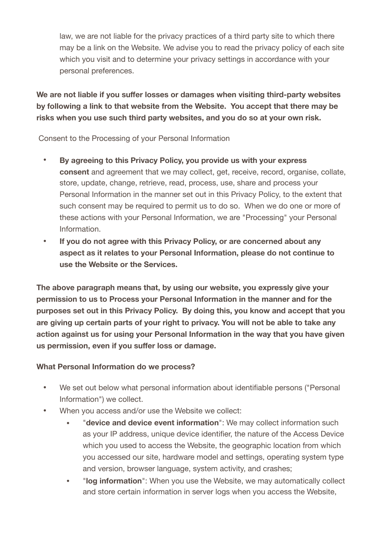law, we are not liable for the privacy practices of a third party site to which there may be a link on the Website. We advise you to read the privacy policy of each site which you visit and to determine your privacy settings in accordance with your personal preferences.

**We are not liable if you suffer losses or damages when visiting third-party websites by following a link to that website from the Website. You accept that there may be risks when you use such third party websites, and you do so at your own risk.**

Consent to the Processing of your Personal Information

- **• By agreeing to this Privacy Policy, you provide us with your express consent** and agreement that we may collect, get, receive, record, organise, collate, store, update, change, retrieve, read, process, use, share and process your Personal Information in the manner set out in this Privacy Policy, to the extent that such consent may be required to permit us to do so. When we do one or more of these actions with your Personal Information, we are "Processing" your Personal Information.
- **• If you do not agree with this Privacy Policy, or are concerned about any aspect as it relates to your Personal Information, please do not continue to use the Website or the Services.**

**The above paragraph means that, by using our website, you expressly give your permission to us to Process your Personal Information in the manner and for the purposes set out in this Privacy Policy. By doing this, you know and accept that you are giving up certain parts of your right to privacy. You will not be able to take any action against us for using your Personal Information in the way that you have given us permission, even if you suffer loss or damage.** 

## **What Personal Information do we process?**

- **•** We set out below what personal information about identifiable persons ("Personal Information") we collect.
- **•** When you access and/or use the Website we collect:
	- **•** "**device and device event information**": We may collect information such as your IP address, unique device identifier, the nature of the Access Device which you used to access the Website, the geographic location from which you accessed our site, hardware model and settings, operating system type and version, browser language, system activity, and crashes;
	- **•** "**log information**": When you use the Website, we may automatically collect and store certain information in server logs when you access the Website,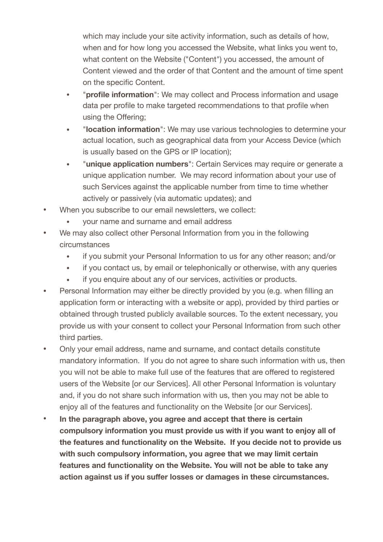which may include your site activity information, such as details of how, when and for how long you accessed the Website, what links you went to, what content on the Website ("Content") you accessed, the amount of Content viewed and the order of that Content and the amount of time spent on the specific Content.

- **•** "**profile information**": We may collect and Process information and usage data per profile to make targeted recommendations to that profile when using the Offering;
- **•** "**location information**": We may use various technologies to determine your actual location, such as geographical data from your Access Device (which is usually based on the GPS or IP location);
- **•** "**unique application numbers**": Certain Services may require or generate a unique application number. We may record information about your use of such Services against the applicable number from time to time whether actively or passively (via automatic updates); and
- **•** When you subscribe to our email newsletters, we collect:
	- **•** your name and surname and email address
- **•** We may also collect other Personal Information from you in the following circumstances
	- **•** if you submit your Personal Information to us for any other reason; and/or
	- **•** if you contact us, by email or telephonically or otherwise, with any queries
	- **•** if you enquire about any of our services, activities or products.
- **•** Personal Information may either be directly provided by you (e.g. when filling an application form or interacting with a website or app), provided by third parties or obtained through trusted publicly available sources. To the extent necessary, you provide us with your consent to collect your Personal Information from such other third parties.
- **•** Only your email address, name and surname, and contact details constitute mandatory information. If you do not agree to share such information with us, then you will not be able to make full use of the features that are offered to registered users of the Website [or our Services]. All other Personal Information is voluntary and, if you do not share such information with us, then you may not be able to enjoy all of the features and functionality on the Website [or our Services].
- **• In the paragraph above, you agree and accept that there is certain compulsory information you must provide us with if you want to enjoy all of the features and functionality on the Website. If you decide not to provide us with such compulsory information, you agree that we may limit certain features and functionality on the Website. You will not be able to take any action against us if you suffer losses or damages in these circumstances.**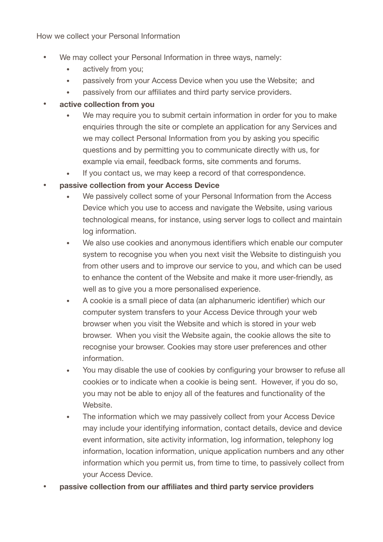How we collect your Personal Information

- **•** We may collect your Personal Information in three ways, namely:
	- **•** actively from you;
	- **•** passively from your Access Device when you use the Website; and
	- **•** passively from our affiliates and third party service providers.
- **• active collection from you** 
	- **•** We may require you to submit certain information in order for you to make enquiries through the site or complete an application for any Services and we may collect Personal Information from you by asking you specific questions and by permitting you to communicate directly with us, for example via email, feedback forms, site comments and forums.
	- **•** If you contact us, we may keep a record of that correspondence.
- **• passive collection from your Access Device** 
	- **•** We passively collect some of your Personal Information from the Access Device which you use to access and navigate the Website, using various technological means, for instance, using server logs to collect and maintain log information.
	- **•** We also use cookies and anonymous identifiers which enable our computer system to recognise you when you next visit the Website to distinguish you from other users and to improve our service to you, and which can be used to enhance the content of the Website and make it more user-friendly, as well as to give you a more personalised experience.
	- **•** A cookie is a small piece of data (an alphanumeric identifier) which our computer system transfers to your Access Device through your web browser when you visit the Website and which is stored in your web browser. When you visit the Website again, the cookie allows the site to recognise your browser. Cookies may store user preferences and other information.
	- **•** You may disable the use of cookies by configuring your browser to refuse all cookies or to indicate when a cookie is being sent. However, if you do so, you may not be able to enjoy all of the features and functionality of the Website.
	- The information which we may passively collect from your Access Device may include your identifying information, contact details, device and device event information, site activity information, log information, telephony log information, location information, unique application numbers and any other information which you permit us, from time to time, to passively collect from your Access Device.
- **• passive collection from our affiliates and third party service providers**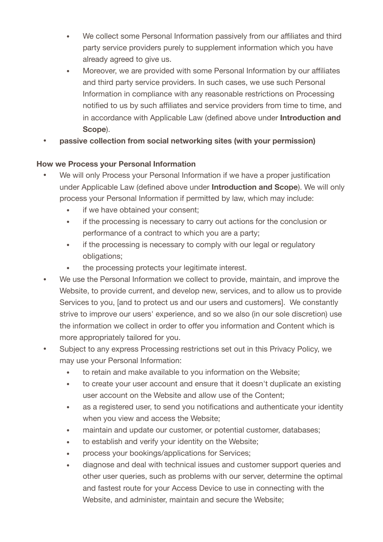- **•** We collect some Personal Information passively from our affiliates and third party service providers purely to supplement information which you have already agreed to give us.
- **•** Moreover, we are provided with some Personal Information by our affiliates and third party service providers. In such cases, we use such Personal Information in compliance with any reasonable restrictions on Processing notified to us by such affiliates and service providers from time to time, and in accordance with Applicable Law (defined above under **Introduction and Scope**).
- **• passive collection from social networking sites (with your permission)**

## **How we Process your Personal Information**

- We will only Process your Personal Information if we have a proper justification under Applicable Law (defined above under **Introduction and Scope**). We will only process your Personal Information if permitted by law, which may include:
	- if we have obtained your consent:
	- if the processing is necessary to carry out actions for the conclusion or performance of a contract to which you are a party;
	- if the processing is necessary to comply with our legal or regulatory obligations;
	- the processing protects your legitimate interest.
- We use the Personal Information we collect to provide, maintain, and improve the Website, to provide current, and develop new, services, and to allow us to provide Services to you, [and to protect us and our users and customers]. We constantly strive to improve our users' experience, and so we also (in our sole discretion) use the information we collect in order to offer you information and Content which is more appropriately tailored for you.
- Subject to any express Processing restrictions set out in this Privacy Policy, we may use your Personal Information:
	- to retain and make available to you information on the Website;
	- to create your user account and ensure that it doesn't duplicate an existing user account on the Website and allow use of the Content;
	- as a registered user, to send you notifications and authenticate your identity when you view and access the Website;
	- maintain and update our customer, or potential customer, databases;
	- to establish and verify your identity on the Website;
	- process your bookings/applications for Services;
	- diagnose and deal with technical issues and customer support queries and other user queries, such as problems with our server, determine the optimal and fastest route for your Access Device to use in connecting with the Website, and administer, maintain and secure the Website;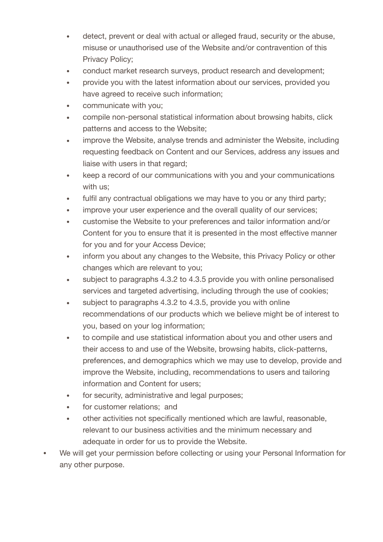- detect, prevent or deal with actual or alleged fraud, security or the abuse, misuse or unauthorised use of the Website and/or contravention of this Privacy Policy;
- conduct market research surveys, product research and development;
- provide you with the latest information about our services, provided you have agreed to receive such information;
- communicate with you;
- compile non-personal statistical information about browsing habits, click patterns and access to the Website;
- improve the Website, analyse trends and administer the Website, including requesting feedback on Content and our Services, address any issues and liaise with users in that regard;
- keep a record of our communications with you and your communications with us;
- fulfil any contractual obligations we may have to you or any third party;
- improve your user experience and the overall quality of our services;
- customise the Website to your preferences and tailor information and/or Content for you to ensure that it is presented in the most effective manner for you and for your Access Device;
- inform you about any changes to the Website, this Privacy Policy or other changes which are relevant to you;
- subject to paragraphs 4.3.2 to 4.3.5 provide you with online personalised services and targeted advertising, including through the use of cookies;
- subject to paragraphs 4.3.2 to 4.3.5, provide you with online recommendations of our products which we believe might be of interest to you, based on your log information;
- to compile and use statistical information about you and other users and their access to and use of the Website, browsing habits, click-patterns, preferences, and demographics which we may use to develop, provide and improve the Website, including, recommendations to users and tailoring information and Content for users;
- for security, administrative and legal purposes;
- for customer relations; and
- other activities not specifically mentioned which are lawful, reasonable, relevant to our business activities and the minimum necessary and adequate in order for us to provide the Website.
- We will get your permission before collecting or using your Personal Information for any other purpose.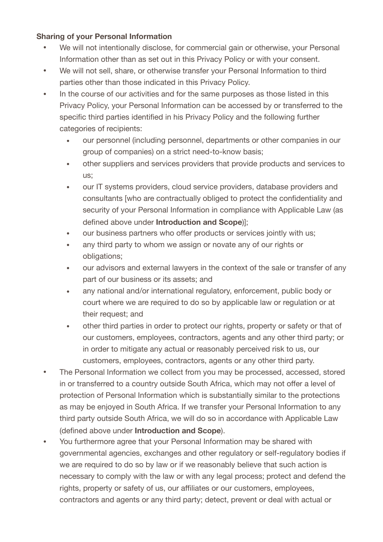#### **Sharing of your Personal Information**

- We will not intentionally disclose, for commercial gain or otherwise, your Personal Information other than as set out in this Privacy Policy or with your consent.
- We will not sell, share, or otherwise transfer your Personal Information to third parties other than those indicated in this Privacy Policy.
- In the course of our activities and for the same purposes as those listed in this Privacy Policy, your Personal Information can be accessed by or transferred to the specific third parties identified in his Privacy Policy and the following further categories of recipients:
	- our personnel (including personnel, departments or other companies in our group of companies) on a strict need-to-know basis;
	- other suppliers and services providers that provide products and services to us;
	- our IT systems providers, cloud service providers, database providers and consultants [who are contractually obliged to protect the confidentiality and security of your Personal Information in compliance with Applicable Law (as defined above under **Introduction and Scope**)];
	- our business partners who offer products or services jointly with us;
	- any third party to whom we assign or novate any of our rights or obligations;
	- our advisors and external lawyers in the context of the sale or transfer of any part of our business or its assets; and
	- any national and/or international regulatory, enforcement, public body or court where we are required to do so by applicable law or regulation or at their request; and
	- other third parties in order to protect our rights, property or safety or that of our customers, employees, contractors, agents and any other third party; or in order to mitigate any actual or reasonably perceived risk to us, our customers, employees, contractors, agents or any other third party.
- The Personal Information we collect from you may be processed, accessed, stored in or transferred to a country outside South Africa, which may not offer a level of protection of Personal Information which is substantially similar to the protections as may be enjoyed in South Africa. If we transfer your Personal Information to any third party outside South Africa, we will do so in accordance with Applicable Law (defined above under **Introduction and Scope**).
- You furthermore agree that your Personal Information may be shared with governmental agencies, exchanges and other regulatory or self-regulatory bodies if we are required to do so by law or if we reasonably believe that such action is necessary to comply with the law or with any legal process; protect and defend the rights, property or safety of us, our affiliates or our customers, employees, contractors and agents or any third party; detect, prevent or deal with actual or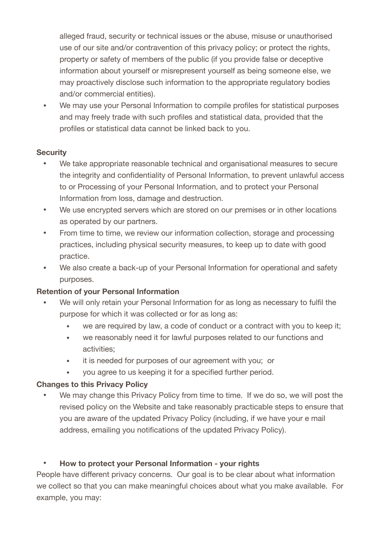alleged fraud, security or technical issues or the abuse, misuse or unauthorised use of our site and/or contravention of this privacy policy; or protect the rights, property or safety of members of the public (if you provide false or deceptive information about yourself or misrepresent yourself as being someone else, we may proactively disclose such information to the appropriate regulatory bodies and/or commercial entities).

• We may use your Personal Information to compile profiles for statistical purposes and may freely trade with such profiles and statistical data, provided that the profiles or statistical data cannot be linked back to you.

#### **Security**

- We take appropriate reasonable technical and organisational measures to secure the integrity and confidentiality of Personal Information, to prevent unlawful access to or Processing of your Personal Information, and to protect your Personal Information from loss, damage and destruction.
- We use encrypted servers which are stored on our premises or in other locations as operated by our partners.
- From time to time, we review our information collection, storage and processing practices, including physical security measures, to keep up to date with good practice.
- We also create a back-up of your Personal Information for operational and safety purposes.

## **Retention of your Personal Information**

- We will only retain your Personal Information for as long as necessary to fulfil the purpose for which it was collected or for as long as:
	- we are required by law, a code of conduct or a contract with you to keep it;
	- we reasonably need it for lawful purposes related to our functions and activities;
	- it is needed for purposes of our agreement with you; or
	- you agree to us keeping it for a specified further period.

## **Changes to this Privacy Policy**

We may change this Privacy Policy from time to time. If we do so, we will post the revised policy on the Website and take reasonably practicable steps to ensure that you are aware of the updated Privacy Policy (including, if we have your e mail address, emailing you notifications of the updated Privacy Policy).

## **• How to protect your Personal Information - your rights**

People have different privacy concerns. Our goal is to be clear about what information we collect so that you can make meaningful choices about what you make available. For example, you may: